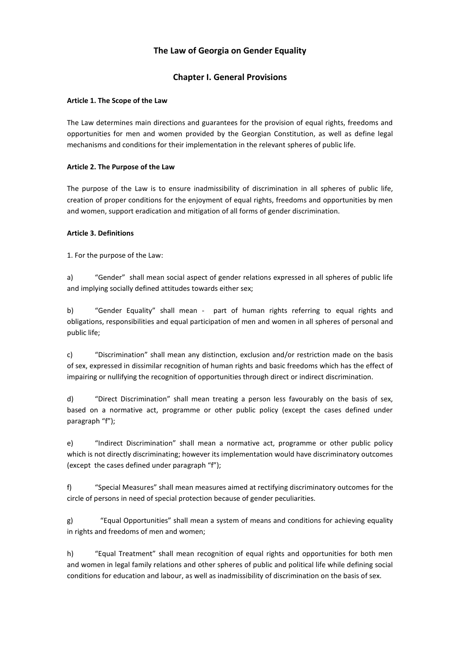## **The Law of Georgia on Gender Equality**

## **Chapter I. General Provisions**

#### **Article 1. The Scope of the Law**

The Law determines main directions and guarantees for the provision of equal rights, freedoms and opportunities for men and women provided by the Georgian Constitution, as well as define legal mechanisms and conditions for their implementation in the relevant spheres of public life.

#### **Article 2. The Purpose of the Law**

The purpose of the Law is to ensure inadmissibility of discrimination in all spheres of public life, creation of proper conditions for the enjoyment of equal rights, freedoms and opportunities by men and women, support eradication and mitigation of all forms of gender discrimination.

### **Article 3. Definitions**

1. For the purpose of the Law:

a) "Gender" shall mean social aspect of gender relations expressed in all spheres of public life and implying socially defined attitudes towards either sex;

b) "Gender Equality" shall mean - part of human rights referring to equal rights and obligations, responsibilities and equal participation of men and women in all spheres of personal and public life;

c) "Discrimination" shall mean any distinction, exclusion and/or restriction made on the basis of sex, expressed in dissimilar recognition of human rights and basic freedoms which has the effect of impairing or nullifying the recognition of opportunities through direct or indirect discrimination.

d) "Direct Discrimination" shall mean treating a person less favourably on the basis of sex, based on a normative act, programme or other public policy (except the cases defined under paragraph "f");

e) "Indirect Discrimination" shall mean a normative act, programme or other public policy which is not directly discriminating; however its implementation would have discriminatory outcomes (except the cases defined under paragraph "f");

f) "Special Measures" shall mean measures aimed at rectifying discriminatory outcomes for the circle of persons in need of special protection because of gender peculiarities.

g) "Equal Opportunities" shall mean a system of means and conditions for achieving equality in rights and freedoms of men and women;

h) "Equal Treatment" shall mean recognition of equal rights and opportunities for both men and women in legal family relations and other spheres of public and political life while defining social conditions for education and labour, as well as inadmissibility of discrimination on the basis of sex.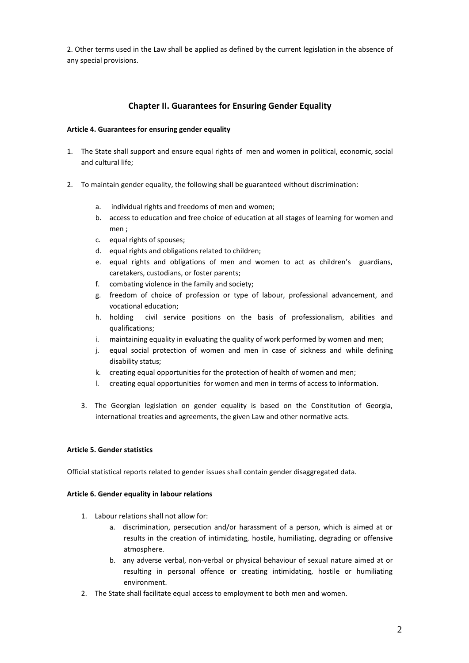2. Other terms used in the Law shall be applied as defined by the current legislation in the absence of any special provisions.

# **Chapter II. Guarantees for Ensuring Gender Equality**

### **Article 4. Guarantees for ensuring gender equality**

- 1. The State shall support and ensure equal rights of men and women in political, economic, social and cultural life;
- 2. To maintain gender equality, the following shall be guaranteed without discrimination:
	- a. individual rights and freedoms of men and women;
	- b. access to education and free choice of education at all stages of learning for women and men ;
	- c. equal rights of spouses;
	- d. equal rights and obligations related to children;
	- e. equal rights and obligations of men and women to act as children's guardians, caretakers, custodians, or foster parents;
	- f. combating violence in the family and society;
	- g. freedom of choice of profession or type of labour, professional advancement, and vocational education;
	- h. holding civil service positions on the basis of professionalism, abilities and qualifications;
	- i. maintaining equality in evaluating the quality of work performed by women and men;
	- j. equal social protection of women and men in case of sickness and while defining disability status;
	- k. creating equal opportunities for the protection of health of women and men;
	- l. creating equal opportunities for women and men in terms of access to information.
	- 3. The Georgian legislation on gender equality is based on the Constitution of Georgia, international treaties and agreements, the given Law and other normative acts.

#### **Article 5. Gender statistics**

Official statistical reports related to gender issues shall contain gender disaggregated data.

#### **Article 6. Gender equality in labour relations**

- 1. Labour relations shall not allow for:
	- a. discrimination, persecution and/or harassment of a person, which is aimed at or results in the creation of intimidating, hostile, humiliating, degrading or offensive atmosphere.
	- b. any adverse verbal, non-verbal or physical behaviour of sexual nature aimed at or resulting in personal offence or creating intimidating, hostile or humiliating environment.
- 2. The State shall facilitate equal access to employment to both men and women.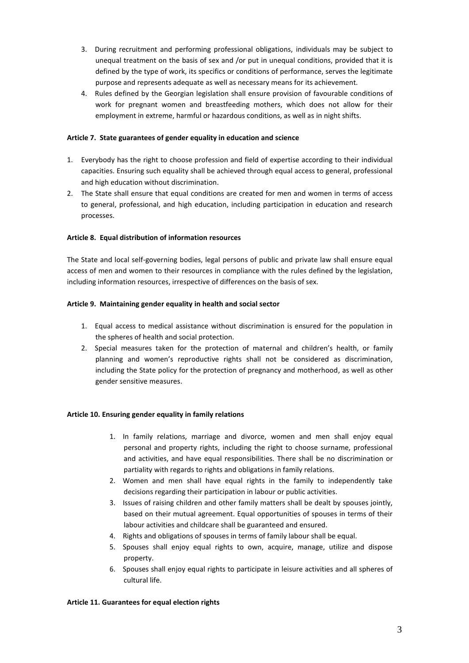- 3. During recruitment and performing professional obligations, individuals may be subject to unequal treatment on the basis of sex and /or put in unequal conditions, provided that it is defined by the type of work, its specifics or conditions of performance, serves the legitimate purpose and represents adequate as well as necessary means for its achievement.
- 4. Rules defined by the Georgian legislation shall ensure provision of favourable conditions of work for pregnant women and breastfeeding mothers, which does not allow for their employment in extreme, harmful or hazardous conditions, as well as in night shifts.

## **Article 7. State guarantees of gender equality in education and science**

- 1. Everybody has the right to choose profession and field of expertise according to their individual capacities. Ensuring such equality shall be achieved through equal access to general, professional and high education without discrimination.
- 2. The State shall ensure that equal conditions are created for men and women in terms of access to general, professional, and high education, including participation in education and research processes.

#### **Article 8. Equal distribution of information resources**

The State and local self-governing bodies, legal persons of public and private law shall ensure equal access of men and women to their resources in compliance with the rules defined by the legislation, including information resources, irrespective of differences on the basis of sex.

#### **Article 9. Maintaining gender equality in health and social sector**

- 1. Equal access to medical assistance without discrimination is ensured for the population in the spheres of health and social protection.
- 2. Special measures taken for the protection of maternal and children's health, or family planning and women's reproductive rights shall not be considered as discrimination, including the State policy for the protection of pregnancy and motherhood, as well as other gender sensitive measures.

#### **Article 10. Ensuring gender equality in family relations**

- 1. In family relations, marriage and divorce, women and men shall enjoy equal personal and property rights, including the right to choose surname, professional and activities, and have equal responsibilities. There shall be no discrimination or partiality with regards to rights and obligations in family relations.
- 2. Women and men shall have equal rights in the family to independently take decisions regarding their participation in labour or public activities.
- 3. Issues of raising children and other family matters shall be dealt by spouses jointly, based on their mutual agreement. Equal opportunities of spouses in terms of their labour activities and childcare shall be guaranteed and ensured.
- 4. Rights and obligations of spouses in terms of family labour shall be equal.
- 5. Spouses shall enjoy equal rights to own, acquire, manage, utilize and dispose property.
- 6. Spouses shall enjoy equal rights to participate in leisure activities and all spheres of cultural life.

#### **Article 11. Guarantees for equal election rights**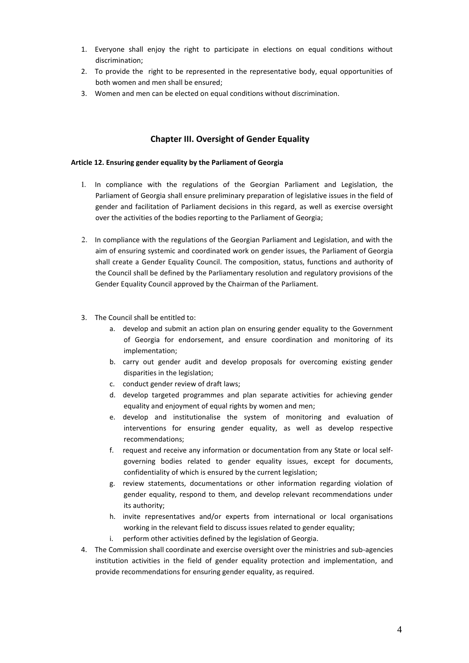- 1. Everyone shall enjoy the right to participate in elections on equal conditions without discrimination;
- 2. To provide the right to be represented in the representative body, equal opportunities of both women and men shall be ensured;
- 3. Women and men can be elected on equal conditions without discrimination.

## **Chapter III. Oversight of Gender Equality**

#### **Article 12. Ensuring gender equality by the Parliament of Georgia**

- 1. In compliance with the regulations of the Georgian Parliament and Legislation, the Parliament of Georgia shall ensure preliminary preparation of legislative issues in the field of gender and facilitation of Parliament decisions in this regard, as well as exercise oversight over the activities of the bodies reporting to the Parliament of Georgia;
- 2. In compliance with the regulations of the Georgian Parliament and Legislation, and with the aim of ensuring systemic and coordinated work on gender issues, the Parliament of Georgia shall create a Gender Equality Council. The composition, status, functions and authority of the Council shall be defined by the Parliamentary resolution and regulatory provisions of the Gender Equality Council approved by the Chairman of the Parliament.
- 3. The Council shall be entitled to:
	- a. develop and submit an action plan on ensuring gender equality to the Government of Georgia for endorsement, and ensure coordination and monitoring of its implementation;
	- b. carry out gender audit and develop proposals for overcoming existing gender disparities in the legislation;
	- c. conduct gender review of draft laws;
	- d. develop targeted programmes and plan separate activities for achieving gender equality and enjoyment of equal rights by women and men;
	- e. develop and institutionalise the system of monitoring and evaluation of interventions for ensuring gender equality, as well as develop respective recommendations;
	- f. request and receive any information or documentation from any State or local selfgoverning bodies related to gender equality issues, except for documents, confidentiality of which is ensured by the current legislation;
	- g. review statements, documentations or other information regarding violation of gender equality, respond to them, and develop relevant recommendations under its authority;
	- h. invite representatives and/or experts from international or local organisations working in the relevant field to discuss issues related to gender equality;
	- i. perform other activities defined by the legislation of Georgia.
- 4. The Commission shall coordinate and exercise oversight over the ministries and sub-agencies institution activities in the field of gender equality protection and implementation, and provide recommendations for ensuring gender equality, as required.